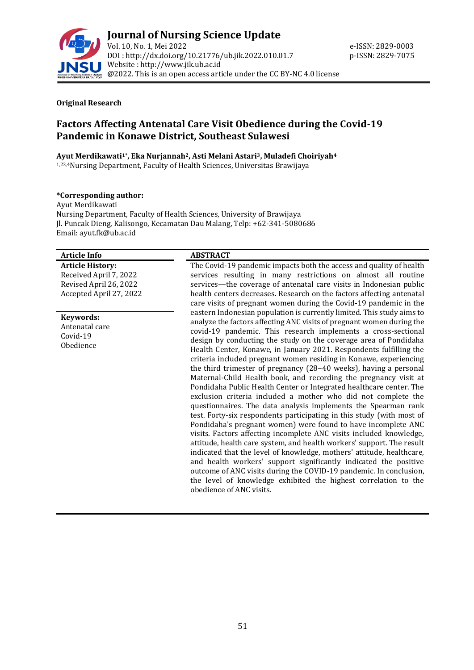

## **Original Research**

# **Factors Affecting Antenatal Care Visit Obedience during the Covid-19 Pandemic in Konawe District, Southeast Sulawesi**

**Ayut Merdikawati1\* , Eka Nurjannah2, Asti Melani Astari3, Muladefi Choiriyah<sup>4</sup>**

1,23,4Nursing Department, Faculty of Health Sciences, Universitas Brawijaya

## **\*Corresponding author:**

Ayut Merdikawati Nursing Department, Faculty of Health Sciences, University of Brawijaya Jl. Puncak Dieng, Kalisongo, Kecamatan Dau Malang, Telp: +62-341-5080686 Email: ayut.fk@ub.ac.id

## **Article Info ABSTRACT**

**Article History:** Received April 7, 2022 Revised April 26, 2022 Accepted April 27, 2022

## **Keywords:**

Antenatal care Covid-19 Obedience

The Covid-19 pandemic impacts both the access and quality of health services resulting in many restrictions on almost all routine services—the coverage of antenatal care visits in Indonesian public health centers decreases. Research on the factors affecting antenatal care visits of pregnant women during the Covid-19 pandemic in the eastern Indonesian population is currently limited. This study aims to analyze the factors affecting ANC visits of pregnant women during the covid-19 pandemic. This research implements a cross-sectional design by conducting the study on the coverage area of Pondidaha Health Center, Konawe, in January 2021. Respondents fulfilling the criteria included pregnant women residing in Konawe, experiencing the third trimester of pregnancy (28−40 weeks), having a personal Maternal-Child Health book, and recording the pregnancy visit at Pondidaha Public Health Center or Integrated healthcare center. The exclusion criteria included a mother who did not complete the questionnaires. The data analysis implements the Spearman rank test. Forty-six respondents participating in this study (with most of Pondidaha's pregnant women) were found to have incomplete ANC visits. Factors affecting incomplete ANC visits included knowledge, attitude, health care system, and health workers' support. The result indicated that the level of knowledge, mothers' attitude, healthcare, and health workers' support significantly indicated the positive outcome of ANC visits during the COVID-19 pandemic. In conclusion, the level of knowledge exhibited the highest correlation to the obedience of ANC visits.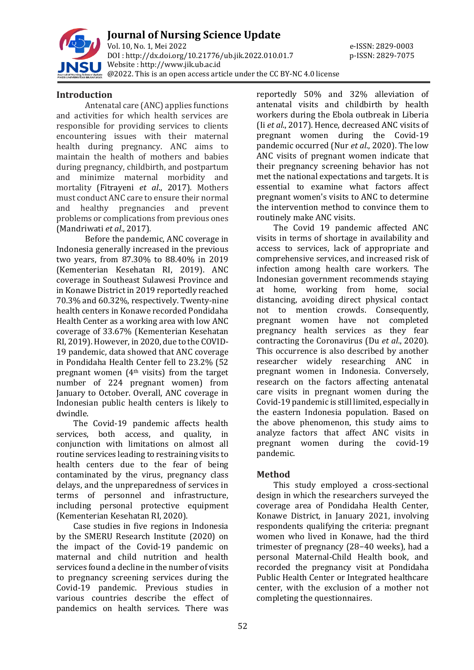

**Journal of Nursing Science Update** Vol. 10, No. 1, Mei 2022 e-ISSN: 2829-0003 DOI : [http://dx.doi.org/10.21776/ub.jik.2022.010.01.7](http://dx.doi.org/10.21776/ub.jik.2022.010.01) p-ISSN: 2829-7075 Website : http:/[/www.jik.ub.ac.id](http://www.jik.ub.ac.id/) @2022. This is an open access article under the CC BY-NC 4.0 license

## **Introduction**

Antenatal care (ANC) applies functions and activities for which health services are responsible for providing services to clients encountering issues with their maternal health during pregnancy. ANC aims to maintain the health of mothers and babies during pregnancy, childbirth, and postpartum and minimize maternal morbidity and mortality (Fitrayeni *et al*., 2017). Mothers must conduct ANC care to ensure their normal and healthy pregnancies and prevent problems or complications from previous ones (Mandriwati *et al*., 2017).

Before the pandemic, ANC coverage in Indonesia generally increased in the previous two years, from 87.30% to 88.40% in 2019 (Kementerian Kesehatan RI, 2019). ANC coverage in Southeast Sulawesi Province and in Konawe District in 2019 reportedly reached 70.3% and 60.32%, respectively. Twenty-nine health centers in Konawe recorded Pondidaha Health Center as a working area with low ANC coverage of 33.67% (Kementerian Kesehatan RI, 2019). However, in 2020, due to the COVID-19 pandemic, data showed that ANC coverage in Pondidaha Health Center fell to 23.2% (52 pregnant women (4th visits) from the target number of 224 pregnant women) from January to October. Overall, ANC coverage in Indonesian public health centers is likely to dwindle.

The Covid-19 pandemic affects health services, both access, and quality, in conjunction with limitations on almost all routine services leading to restraining visits to health centers due to the fear of being contaminated by the virus, pregnancy class delays, and the unpreparedness of services in terms of personnel and infrastructure, including personal protective equipment (Kementerian Kesehatan RI, 2020).

Case studies in five regions in Indonesia by the SMERU Research Institute (2020) on the impact of the Covid-19 pandemic on maternal and child nutrition and health services found a decline in the number of visits to pregnancy screening services during the Covid-19 pandemic. Previous studies in various countries describe the effect of pandemics on health services. There was

reportedly 50% and 32% alleviation of antenatal visits and childbirth by health workers during the Ebola outbreak in Liberia (Ii *et al*., 2017). Hence, decreased ANC visits of pregnant women during the Covid-19 pandemic occurred (Nur *et al*., 2020). The low ANC visits of pregnant women indicate that their pregnancy screening behavior has not met the national expectations and targets. It is essential to examine what factors affect pregnant women's visits to ANC to determine the intervention method to convince them to routinely make ANC visits.

The Covid 19 pandemic affected ANC visits in terms of shortage in availability and access to services, lack of appropriate and comprehensive services, and increased risk of infection among health care workers. The Indonesian government recommends staying at home, working from home, social distancing, avoiding direct physical contact not to mention crowds. Consequently, pregnant women have not completed pregnancy health services as they fear contracting the Coronavirus (Du *et al*., 2020). This occurrence is also described by another researcher widely researching ANC in pregnant women in Indonesia. Conversely, research on the factors affecting antenatal care visits in pregnant women during the Covid-19 pandemic is still limited, especially in the eastern Indonesia population. Based on the above phenomenon, this study aims to analyze factors that affect ANC visits in pregnant women during the covid-19 pandemic.

# **Method**

This study employed a cross-sectional design in which the researchers surveyed the coverage area of Pondidaha Health Center, Konawe District, in January 2021, involving respondents qualifying the criteria: pregnant women who lived in Konawe, had the third trimester of pregnancy (28−40 weeks), had a personal Maternal-Child Health book, and recorded the pregnancy visit at Pondidaha Public Health Center or Integrated healthcare center, with the exclusion of a mother not completing the questionnaires.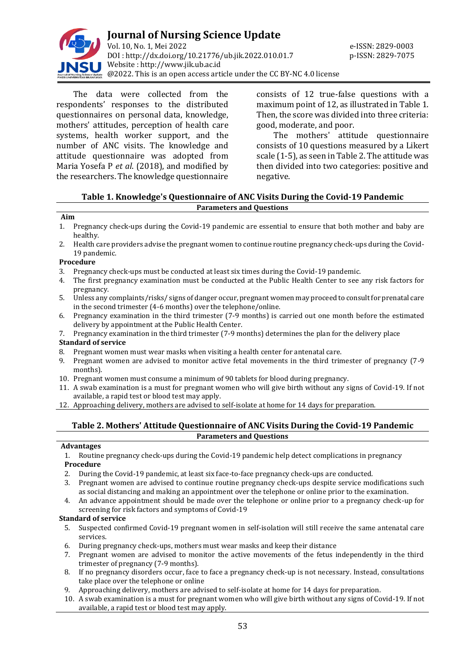

The data were collected from the respondents' responses to the distributed questionnaires on personal data, knowledge, mothers' attitudes, perception of health care systems, health worker support, and the number of ANC visits. The knowledge and attitude questionnaire was adopted from Maria Yosefa P *et al*. (2018), and modified by the researchers. The knowledge questionnaire consists of 12 true-false questions with a maximum point of 12, as illustrated in Table 1. Then, the score was divided into three criteria: good, moderate, and poor.

The mothers' attitude questionnaire consists of 10 questions measured by a Likert scale (1-5), as seen in Table 2. The attitude was then divided into two categories: positive and negative.

## **Table 1. Knowledge's Questionnaire of ANC Visits During the Covid-19 Pandemic Parameters and Questions**

## **Aim**

- 1. Pregnancy check-ups during the Covid-19 pandemic are essential to ensure that both mother and baby are healthy.
- 2. Health care providers advise the pregnant women to continue routine pregnancy check-ups during the Covid-19 pandemic.

## **Procedure**

- 3. Pregnancy check-ups must be conducted at least six times during the Covid-19 pandemic.
- 4. The first pregnancy examination must be conducted at the Public Health Center to see any risk factors for pregnancy.
- 5. Unless any complaints/risks/ signs of danger occur, pregnant women may proceed to consult for prenatal care in the second trimester (4-6 months) over the telephone/online.
- 6. Pregnancy examination in the third trimester (7-9 months) is carried out one month before the estimated delivery by appointment at the Public Health Center.
- 7. Pregnancy examination in the third trimester (7-9 months) determines the plan for the delivery place **Standard of service**
- 8. Pregnant women must wear masks when visiting a health center for antenatal care.
- 9. Pregnant women are advised to monitor active fetal movements in the third trimester of pregnancy (7-9 months).
- 10. Pregnant women must consume a minimum of 90 tablets for blood during pregnancy.
- 11. A swab examination is a must for pregnant women who will give birth without any signs of Covid-19. If not available, a rapid test or blood test may apply.
- 12. Approaching delivery, mothers are advised to self-isolate at home for 14 days for preparation.

## **Table 2. Mothers' Attitude Questionnaire of ANC Visits During the Covid-19 Pandemic Parameters and Questions**

### **Advantages**

- 1. Routine pregnancy check-ups during the Covid-19 pandemic help detect complications in pregnancy **Procedure**
- 2. During the Covid-19 pandemic, at least six face-to-face pregnancy check-ups are conducted.
- 3. Pregnant women are advised to continue routine pregnancy check-ups despite service modifications such as social distancing and making an appointment over the telephone or online prior to the examination.
- 4. An advance appointment should be made over the telephone or online prior to a pregnancy check-up for screening for risk factors and symptoms of Covid-19

### **Standard of service**

- 5. Suspected confirmed Covid-19 pregnant women in self-isolation will still receive the same antenatal care services.
- 6. During pregnancy check-ups, mothers must wear masks and keep their distance
- 7. Pregnant women are advised to monitor the active movements of the fetus independently in the third trimester of pregnancy (7-9 months).
- 8. If no pregnancy disorders occur, face to face a pregnancy check-up is not necessary. Instead, consultations take place over the telephone or online
- 9. Approaching delivery, mothers are advised to self-isolate at home for 14 days for preparation.
- 10. A swab examination is a must for pregnant women who will give birth without any signs of Covid-19. If not available, a rapid test or blood test may apply.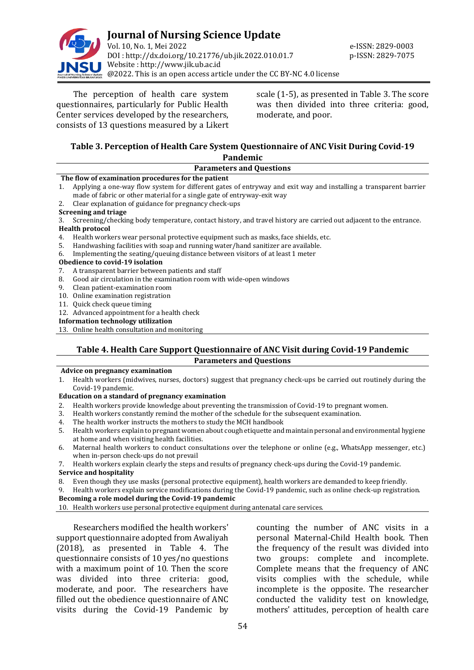

The perception of health care system questionnaires, particularly for Public Health Center services developed by the researchers, consists of 13 questions measured by a Likert

scale (1-5), as presented in Table 3. The score was then divided into three criteria: good, moderate, and poor.

## **Table 3. Perception of Health Care System Questionnaire of ANC Visit During Covid-19 Pandemic**

|    | <b>Parameters and Questions</b>                                                                                       |  |  |  |  |
|----|-----------------------------------------------------------------------------------------------------------------------|--|--|--|--|
|    | The flow of examination procedures for the patient                                                                    |  |  |  |  |
| 1. | Applying a one-way flow system for different gates of entryway and exit way and installing a transparent barrier      |  |  |  |  |
|    | made of fabric or other material for a single gate of entryway-exit way                                               |  |  |  |  |
|    | 2. Clear explanation of guidance for pregnancy check-ups                                                              |  |  |  |  |
|    | <b>Screening and triage</b>                                                                                           |  |  |  |  |
|    | 3. Screening/checking body temperature, contact history, and travel history are carried out adjacent to the entrance. |  |  |  |  |
|    | <b>Health protocol</b>                                                                                                |  |  |  |  |
|    | 4. Health workers wear personal protective equipment such as masks, face shields, etc.                                |  |  |  |  |
| 5. | Handwashing facilities with soap and running water/hand sanitizer are available.                                      |  |  |  |  |
| 6. | Implementing the seating/queuing distance between visitors of at least 1 meter                                        |  |  |  |  |
|    | Obedience to covid-19 isolation                                                                                       |  |  |  |  |
| 7. | A transparent barrier between patients and staff                                                                      |  |  |  |  |
| 8. | Good air circulation in the examination room with wide-open windows                                                   |  |  |  |  |
| 9. | Clean patient-examination room                                                                                        |  |  |  |  |
|    | 10. Online examination registration                                                                                   |  |  |  |  |
|    | 11. Quick check queue timing                                                                                          |  |  |  |  |
|    | 12. Advanced appointment for a health check                                                                           |  |  |  |  |

**Information technology utilization**

13. Online health consultation and monitoring

## **Table 4. Health Care Support Questionnaire of ANC Visit during Covid-19 Pandemic Parameters and Questions**

### **Advice on pregnancy examination**

1. Health workers (midwives, nurses, doctors) suggest that pregnancy check-ups be carried out routinely during the Covid-19 pandemic.

## **Education on a standard of pregnancy examination**

- 2. Health workers provide knowledge about preventing the transmission of Covid-19 to pregnant women.
- 3. Health workers constantly remind the mother of the schedule for the subsequent examination.
- 4. The health worker instructs the mothers to study the MCH handbook
- 5. Health workers explain to pregnant women about cough etiquette and maintain personal and environmental hygiene at home and when visiting health facilities.
- 6. Maternal health workers to conduct consultations over the telephone or online (e.g., WhatsApp messenger, etc.) when in-person check-ups do not prevail
- 7. Health workers explain clearly the steps and results of pregnancy check-ups during the Covid-19 pandemic.

### **Service and hospitality**

8. Even though they use masks (personal protective equipment), health workers are demanded to keep friendly.

9. Health workers explain service modifications during the Covid-19 pandemic, such as online check-up registration.

**Becoming a role model during the Covid-19 pandemic**

10. Health workers use personal protective equipment during antenatal care services.

Researchers modified the health workers' support questionnaire adopted from Awaliyah (2018), as presented in Table 4. The questionnaire consists of 10 yes/no questions with a maximum point of 10. Then the score was divided into three criteria: good, moderate, and poor. The researchers have filled out the obedience questionnaire of ANC visits during the Covid-19 Pandemic by

counting the number of ANC visits in a personal Maternal-Child Health book. Then the frequency of the result was divided into two groups: complete and incomplete. Complete means that the frequency of ANC visits complies with the schedule, while incomplete is the opposite. The researcher conducted the validity test on knowledge, mothers' attitudes, perception of health care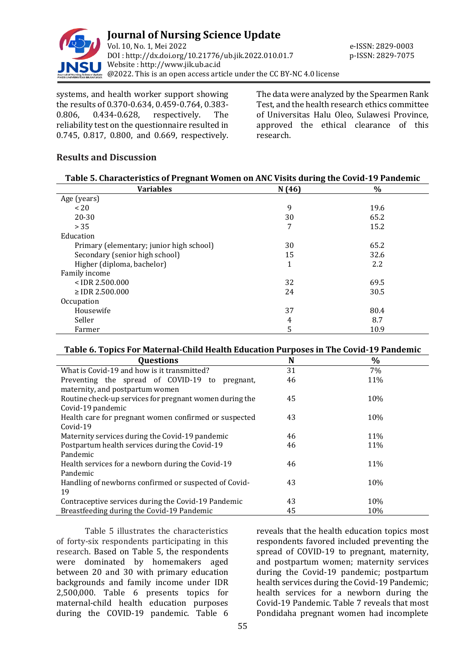

systems, and health worker support showing the results of 0.370-0.634, 0.459-0.764, 0.383- 0.806, 0.434-0.628, respectively. The reliability test on the questionnaire resulted in 0.745, 0.817, 0.800, and 0.669, respectively.

The data were analyzed by the Spearmen Rank Test, and the health research ethics committee of Universitas Halu Oleo, Sulawesi Province, approved the ethical clearance of this research.

# **Results and Discussion**

| Table 5. Characteristics of Pregnant Women on ANC Visits during the Covid-19 Pandemic |
|---------------------------------------------------------------------------------------|
|                                                                                       |

| <b>Variables</b>                         | N(46)        | $\%$ |  |
|------------------------------------------|--------------|------|--|
| Age (years)                              |              |      |  |
| $~<$ 20                                  | 9            | 19.6 |  |
| $20 - 30$                                | 30           | 65.2 |  |
| > 35                                     | 7            | 15.2 |  |
| Education                                |              |      |  |
| Primary (elementary; junior high school) | 30           | 65.2 |  |
| Secondary (senior high school)           | 15           | 32.6 |  |
| Higher (diploma, bachelor)               | $\mathbf{1}$ | 2.2  |  |
| Family income                            |              |      |  |
| $<$ IDR 2.500.000                        | 32           | 69.5 |  |
| $\ge$ IDR 2.500.000                      | 24           | 30.5 |  |
| Occupation                               |              |      |  |
| Housewife                                | 37           | 80.4 |  |
| Seller                                   | 4            | 8.7  |  |
| Farmer                                   | 5            | 10.9 |  |

# **Table 6. Topics For Maternal-Child Health Education Purposes in The Covid-19 Pandemic**

| <b>Questions</b>                                        | N  | $\%$ |
|---------------------------------------------------------|----|------|
| What is Covid-19 and how is it transmitted?             | 31 | 7%   |
| Preventing the spread of COVID-19 to<br>pregnant,       | 46 | 11%  |
| maternity, and postpartum women                         |    |      |
| Routine check-up services for pregnant women during the | 45 | 10%  |
| Covid-19 pandemic                                       |    |      |
| Health care for pregnant women confirmed or suspected   | 43 | 10%  |
| $Covid-19$                                              |    |      |
| Maternity services during the Covid-19 pandemic         | 46 | 11%  |
| Postpartum health services during the Covid-19          | 46 | 11%  |
| Pandemic                                                |    |      |
| Health services for a newborn during the Covid-19       | 46 | 11%  |
| Pandemic                                                |    |      |
| Handling of newborns confirmed or suspected of Covid-   | 43 | 10%  |
| 19                                                      |    |      |
| Contraceptive services during the Covid-19 Pandemic     | 43 | 10%  |
| Breastfeeding during the Covid-19 Pandemic              | 45 | 10%  |

Table 5 illustrates the characteristics of forty-six respondents participating in this research. Based on Table 5, the respondents were dominated by homemakers aged between 20 and 30 with primary education backgrounds and family income under IDR 2,500,000. Table 6 presents topics for maternal-child health education purposes during the COVID-19 pandemic. Table 6

reveals that the health education topics most respondents favored included preventing the spread of COVID-19 to pregnant, maternity, and postpartum women; maternity services during the Covid-19 pandemic; postpartum health services during the Covid-19 Pandemic; health services for a newborn during the Covid-19 Pandemic. Table 7 reveals that most Pondidaha pregnant women had incomplete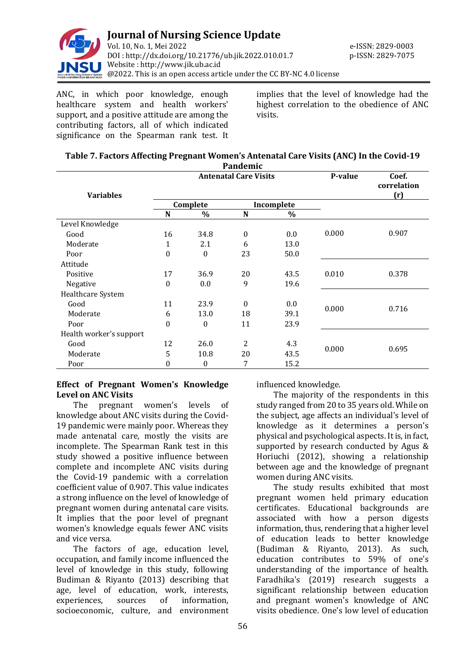

ANC, in which poor knowledge, enough healthcare system and health workers' support, and a positive attitude are among the contributing factors, all of which indicated significance on the Spearman rank test. It implies that the level of knowledge had the highest correlation to the obedience of ANC visits.

| Table 7. Factors Affecting Pregnant Women's Antenatal Care Visits (ANC) In the Covid-19 |
|-----------------------------------------------------------------------------------------|
| <b>D</b> andomic                                                                        |

| <b>Variables</b>        | <b>Antenatal Care Visits</b> |              |              |      | P-value | Coef.<br>correlation<br>(r) |
|-------------------------|------------------------------|--------------|--------------|------|---------|-----------------------------|
|                         | Complete                     |              | Incomplete   |      |         |                             |
|                         | N                            | $\%$         | N            | $\%$ |         |                             |
| Level Knowledge         |                              |              |              |      |         |                             |
| Good                    | 16                           | 34.8         | $\mathbf{0}$ | 0.0  | 0.000   | 0.907                       |
| Moderate                | $\mathbf{1}$                 | 2.1          | 6            | 13.0 |         |                             |
| Poor                    | $\boldsymbol{0}$             | $\mathbf{0}$ | 23           | 50.0 |         |                             |
| Attitude                |                              |              |              |      |         |                             |
| Positive                | 17                           | 36.9         | 20           | 43.5 | 0.010   | 0.378                       |
| Negative                | $\boldsymbol{0}$             | 0.0          | 9            | 19.6 |         |                             |
| Healthcare System       |                              |              |              |      |         |                             |
| Good                    | 11                           | 23.9         | $\Omega$     | 0.0  |         | 0.716                       |
| Moderate                | 6                            | 13.0         | 18           | 39.1 | 0.000   |                             |
| Poor                    | $\boldsymbol{0}$             | $\mathbf{0}$ | 11           | 23.9 |         |                             |
| Health worker's support |                              |              |              |      |         |                             |
| Good                    | 12                           | 26.0         | 2            | 4.3  |         |                             |
| Moderate                | 5                            | 10.8         | 20           | 43.5 | 0.000   | 0.695                       |
| Poor                    | 0                            | $\mathbf{0}$ | 7            | 15.2 |         |                             |

## **Effect of Pregnant Women's Knowledge Level on ANC Visits**

The pregnant women's levels of knowledge about ANC visits during the Covid-19 pandemic were mainly poor. Whereas they made antenatal care, mostly the visits are incomplete. The Spearman Rank test in this study showed a positive influence between complete and incomplete ANC visits during the Covid-19 pandemic with a correlation coefficient value of 0.907. This value indicates a strong influence on the level of knowledge of pregnant women during antenatal care visits. It implies that the poor level of pregnant women's knowledge equals fewer ANC visits and vice versa.

The factors of age, education level, occupation, and family income influenced the level of knowledge in this study, following Budiman & Riyanto (2013) describing that age, level of education, work, interests, experiences, sources of information, socioeconomic, culture, and environment

influenced knowledge.

The majority of the respondents in this study ranged from 20 to 35 years old. While on the subject, age affects an individual's level of knowledge as it determines a person's physical and psychological aspects. It is, in fact, supported by research conducted by Agus & Horiuchi (2012), showing a relationship between age and the knowledge of pregnant women during ANC visits.

The study results exhibited that most pregnant women held primary education certificates. Educational backgrounds are associated with how a person digests information, thus, rendering that a higher level of education leads to better knowledge (Budiman & Riyanto, 2013). As such, education contributes to 59% of one's understanding of the importance of health. Faradhika's (2019) research suggests a significant relationship between education and pregnant women's knowledge of ANC visits obedience. One's low level of education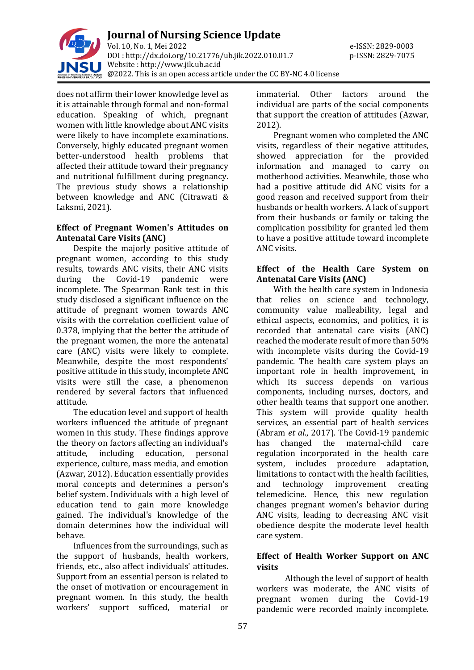

does not affirm their lower knowledge level as it is attainable through formal and non-formal education. Speaking of which, pregnant women with little knowledge about ANC visits were likely to have incomplete examinations. Conversely, highly educated pregnant women better-understood health problems that affected their attitude toward their pregnancy and nutritional fulfillment during pregnancy. The previous study shows a relationship between knowledge and ANC (Citrawati & Laksmi, 2021).

## **Effect of Pregnant Women's Attitudes on Antenatal Care Visits (ANC)**

Despite the majorly positive attitude of pregnant women, according to this study results, towards ANC visits, their ANC visits during the Covid-19 pandemic were incomplete. The Spearman Rank test in this study disclosed a significant influence on the attitude of pregnant women towards ANC visits with the correlation coefficient value of 0.378, implying that the better the attitude of the pregnant women, the more the antenatal care (ANC) visits were likely to complete. Meanwhile, despite the most respondents' positive attitude in this study, incomplete ANC visits were still the case, a phenomenon rendered by several factors that influenced attitude.

The education level and support of health workers influenced the attitude of pregnant women in this study. These findings approve the theory on factors affecting an individual's attitude, including education, personal experience, culture, mass media, and emotion (Azwar, 2012). Education essentially provides moral concepts and determines a person's belief system. Individuals with a high level of education tend to gain more knowledge gained. The individual's knowledge of the domain determines how the individual will behave.

Influences from the surroundings, such as the support of husbands, health workers, friends, etc., also affect individuals' attitudes. Support from an essential person is related to the onset of motivation or encouragement in pregnant women. In this study, the health workers' support sufficed, material or

immaterial. Other factors around the individual are parts of the social components that support the creation of attitudes (Azwar, 2012).

Pregnant women who completed the ANC visits, regardless of their negative attitudes, showed appreciation for the provided information and managed to carry on motherhood activities. Meanwhile, those who had a positive attitude did ANC visits for a good reason and received support from their husbands or health workers. A lack of support from their husbands or family or taking the complication possibility for granted led them to have a positive attitude toward incomplete ANC visits.

# **Effect of the Health Care System on Antenatal Care Visits (ANC)**

With the health care system in Indonesia that relies on science and technology, community value malleability, legal and ethical aspects, economics, and politics, it is recorded that antenatal care visits (ANC) reached the moderate result of more than 50% with incomplete visits during the Covid-19 pandemic. The health care system plays an important role in health improvement, in which its success depends on various components, including nurses, doctors, and other health teams that support one another. This system will provide quality health services, an essential part of health services (Abram *et al*., 2017). The Covid-19 pandemic has changed the maternal-child care regulation incorporated in the health care system, includes procedure adaptation, limitations to contact with the health facilities, and technology improvement creating telemedicine. Hence, this new regulation changes pregnant women's behavior during ANC visits, leading to decreasing ANC visit obedience despite the moderate level health care system.

# **Effect of Health Worker Support on ANC visits**

Although the level of support of health workers was moderate, the ANC visits of pregnant women during the Covid-19 pandemic were recorded mainly incomplete.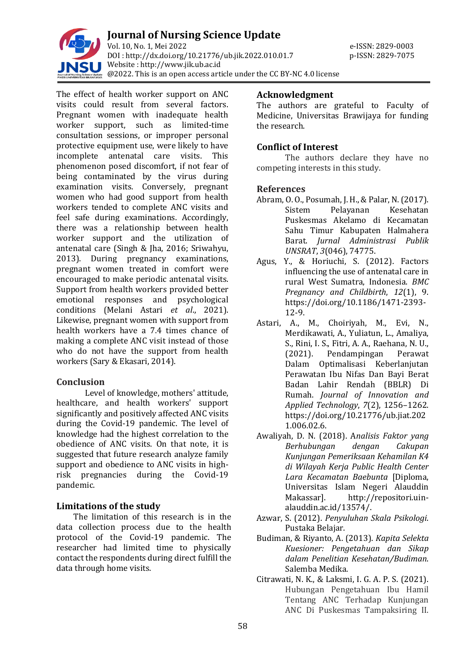

**Journal of Nursing Science Update** Vol. 10, No. 1, Mei 2022 e-ISSN: 2829-0003 DOI : [http://dx.doi.org/10.21776/ub.jik.2022.010.01.7](http://dx.doi.org/10.21776/ub.jik.2022.010.01) p-ISSN: 2829-7075 Website : http:/[/www.jik.ub.ac.id](http://www.jik.ub.ac.id/)  $\mathcal{C}_{\alpha}^{k}$  @2022. This is an open access article under the CC BY-NC 4.0 license

The effect of health worker support on ANC visits could result from several factors. Pregnant women with inadequate health worker support, such as limited-time consultation sessions, or improper personal protective equipment use, were likely to have incomplete antenatal care visits. This phenomenon posed discomfort, if not fear of being contaminated by the virus during examination visits. Conversely, pregnant women who had good support from health workers tended to complete ANC visits and feel safe during examinations. Accordingly, there was a relationship between health worker support and the utilization of antenatal care (Singh & Jha, 2016; Sriwahyu, 2013). During pregnancy examinations, pregnant women treated in comfort were encouraged to make periodic antenatal visits. Support from health workers provided better emotional responses and psychological conditions (Melani Astari *et al*., 2021). Likewise, pregnant women with support from health workers have a 7.4 times chance of making a complete ANC visit instead of those who do not have the support from health workers (Sary & Ekasari, 2014).

# **Conclusion**

Level of knowledge, mothers' attitude, healthcare, and health workers' support significantly and positively affected ANC visits during the Covid-19 pandemic. The level of knowledge had the highest correlation to the obedience of ANC visits. On that note, it is suggested that future research analyze family support and obedience to ANC visits in highrisk pregnancies during the Covid-19 pandemic.

# **Limitations of the study**

The limitation of this research is in the data collection process due to the health protocol of the Covid-19 pandemic. The researcher had limited time to physically contact the respondents during direct fulfill the data through home visits.

# **Acknowledgment**

The authors are grateful to Faculty of Medicine, Universitas Brawijaya for funding the research.

# **Conflict of Interest**

The authors declare they have no competing interests in this study.

# **References**

- Abram, O. O., Posumah, J. H., & Palar, N. (2017). Sistem Pelayanan Kesehatan Puskesmas Akelamo di Kecamatan Sahu Timur Kabupaten Halmahera Barat. *Jurnal Administrasi Publik UNSRAT*, *3*(046), 74775.
- Agus, Y., & Horiuchi, S. (2012). Factors influencing the use of antenatal care in rural West Sumatra, Indonesia. *BMC Pregnancy and Childbirth*, *12*(1), 9. https://doi.org/10.1186/1471-2393- 12-9.
- Astari, A., M., Choiriyah, M., Evi, N., Merdikawati, A., Yuliatun, L., Amaliya, S., Rini, I. S., Fitri, A. A., Raehana, N. U., (2021). Pendampingan Perawat Dalam Optimalisasi Keberlanjutan Perawatan Ibu Nifas Dan Bayi Berat Badan Lahir Rendah (BBLR) Di Rumah. *Journal of Innovation and Applied Technology*, *7*(2), 1256–1262. https://doi.org/10.21776/ub.jiat.202 1.006.02.6.
- Awaliyah, D. N. (2018). A*nalisis Faktor yang Berhubungan dengan Cakupan Kunjungan Pemeriksaan Kehamilan K4 di Wilayah Kerja Public Health Center Lara Kecamatan Baebunta* [Diploma, Universitas Islam Negeri Alauddin Makassar]. http://repositori.uinalauddin.ac.id/13574/.
- Azwar, S. (2012). *Penyuluhan Skala Psikologi*. Pustaka Belajar.
- Budiman, & Riyanto, A. (2013). *Kapita Selekta Kuesioner: Pengetahuan dan Sikap dalam Penelitian Kesehatan/Budiman*. Salemba Medika.
- Citrawati, N. K., & Laksmi, I. G. A. P. S. (2021). Hubungan Pengetahuan Ibu Hamil Tentang ANC Terhadap Kunjungan ANC Di Puskesmas Tampaksiring II.